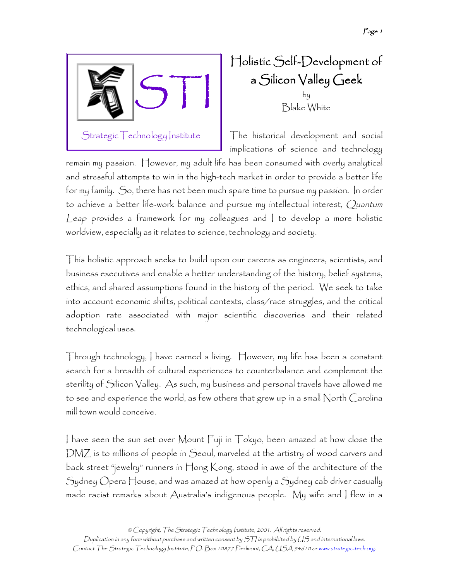

Holistic Self-Development of a Silicon Valley Geek by Blake White

The historical development and social implications of science and technology

remain my passion. However, my adult life has been consumed with overly analytical and stressful attempts to win in the high-tech market in order to provide a better life for my family. So, there has not been much spare time to pursue my passion. In order to achieve a better life-work balance and pursue my intellectual interest, Quantum Leap provides a framework for my colleagues and I to develop a more holistic worldview, especially as it relates to science, technology and society.

This holistic approach seeks to build upon our careers as engineers, scientists, and business executives and enable a better understanding of the history, belief systems, ethics, and shared assumptions found in the history of the period. We seek to take into account economic shifts, political contexts, class/race struggles, and the critical adoption rate associated with major scientific discoveries and their related technological uses.

Through technology, I have earned a living. However, my life has been a constant search for a breadth of cultural experiences to counterbalance and complement the sterility of Silicon Valley. As such, my business and personal travels have allowed me to see and experience the world, as few others that grew up in a small North Carolina mill town would conceive.

I have seen the sun set over Mount Fuji in Tokyo, been amazed at how close the DMZ is to millions of people in Seoul, marveled at the artistry of wood carvers and back street "jewelry" runners in Hong Kong, stood in awe of the architecture of the Sydney Opera House, and was amazed at how openly a Sydney cab driver casually made racist remarks about Australia's indigenous people. My wife and I flew in a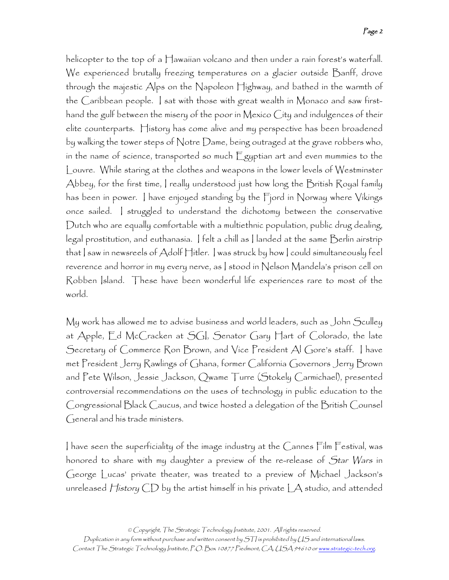helicopter to the top of a Hawaiian volcano and then under a rain forest's waterfall. We experienced brutally freezing temperatures on a glacier outside Banff, drove through the majestic Alps on the Napoleon Highway, and bathed in the warmth of the Caribbean people. I sat with those with great wealth in Monaco and saw firsthand the gulf between the misery of the poor in Mexico City and indulgences of their elite counterparts. History has come alive and my perspective has been broadened by walking the tower steps of Notre Dame, being outraged at the grave robbers who, in the name of science, transported so much Egyptian art and even mummies to the Louvre. While staring at the clothes and weapons in the lower levels of Westminster Abbey, for the first time, I really understood just how long the British Royal family has been in power. I have enjoyed standing by the Fjord in Norway where Vikings once sailed. I struggled to understand the dichotomy between the conservative Dutch who are equally comfortable with a multiethnic population, public drug dealing, legal prostitution, and euthanasia. I felt a chill as I landed at the same Berlin airstrip that I saw in newsreels of Adolf Hitler. I was struck by how I could simultaneously feel reverence and horror in my every nerve, as I stood in Nelson Mandela's prison cell on Robben Island. These have been wonderful life experiences rare to most of the world.

My work has allowed me to advise business and world leaders, such as John Sculley at Apple, Ed McCracken at SGI, Senator Gary Hart of Colorado, the late Secretary of Commerce Ron Brown, and Vice President Al Gore's staff. I have met President Jerry Rawlings of Ghana, former California Governors Jerry Brown and Pete Wilson, Jessie Jackson, Qwame Turre (Stokely Carmichael), presented controversial recommendations on the uses of technology in public education to the Congressional Black Caucus, and twice hosted a delegation of the British Counsel General and his trade ministers.

I have seen the superficiality of the image industry at the Cannes Film Festival, was honored to share with my daughter a preview of the re-release of Star Wars in George Lucas' private theater, was treated to a preview of Michael Jackson's unreleased  $H$ *istory* CD by the artist himself in his private  $\Box A$  studio, and attended

Duplication in any form without purchase and written consent by STI is prohibited by US and international laws. Contact The Strategic Technology Institute, P.O. Box 10877 Piedmont, CA, USA 94610 or www.strategic-tech.org.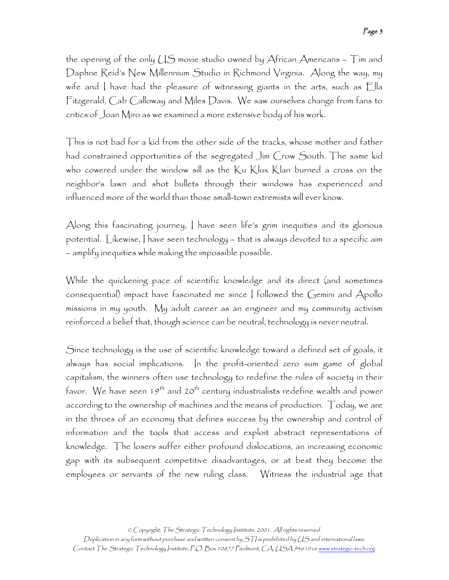the opening of the only  $US$  movie studio owned by African Americans –  $Tim$  and Daphne Reid's New Millennium Studio in Richmond Virginia. Along the way, my wife and I have had the pleasure of witnessing giants in the arts, such as Ella Fitzgerald, Cab Calloway and Miles Davis. We saw ourselves change from fans to critics of Joan Miro as we examined a more extensive body of his work.

This is not bad for a kid from the other side of the tracks, whose mother and father had constrained opportunities of the segregated Jim Crow South. The same kid who cowered under the window sill as the Ku Klux Klan burned a cross on the neighbor's lawn and shot bullets through their windows has experienced and influenced more of the world than those small-town extremists will ever know.

Along this fascinating journey, I have seen life's grim inequities and its glorious potential. Likewise, I have seen technology – that is always devoted to a specific aim – amplify inequities while making the impossible possible.

While the quickening pace of scientific knowledge and its direct (and sometimes consequential) impact have fascinated me since I followed the Gemini and Apollo missions in my youth. My adult career as an engineer and my community activism reinforced a belief that, though science can be neutral, technology is never neutral.

Since technology is the use of scientific knowledge toward a defined set of goals, it always has social implications. In the profit-oriented zero sum game of global capitalism, the winners often use technology to redefine the rules of society in their favor. We have seen  $19^{th}$  and  $20^{th}$  century industrialists redefine wealth and power according to the ownership of machines and the means of production. Today, we are in the throes of an economy that defines success by the ownership and control of information and the tools that access and exploit abstract representations of knowledge. The losers suffer either profound dislocations, an increasing economic gap with its subsequent competitive disadvantages, or at best they become the employees or servants of the new ruling class. Witness the industrial age that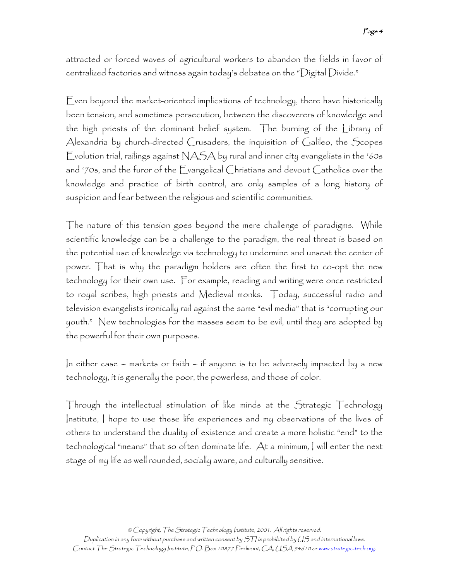attracted or forced waves of agricultural workers to abandon the fields in favor of centralized factories and witness again today's debates on the "Digital Divide."

Even beyond the market-oriented implications of technology, there have historically been tension, and sometimes persecution, between the discoverers of knowledge and the high priests of the dominant belief system. The burning of the Library of Alexandria by church-directed Crusaders, the inquisition of Galileo, the Scopes Evolution trial, railings against  $NASA$  by rural and inner city evangelists in the '60s and '70s, and the furor of the Evangelical Christians and devout Catholics over the knowledge and practice of birth control, are only samples of a long history of suspicion and fear between the religious and scientific communities.

The nature of this tension goes beyond the mere challenge of paradigms. While scientific knowledge can be a challenge to the paradigm, the real threat is based on the potential use of knowledge via technology to undermine and unseat the center of power. That is why the paradigm holders are often the first to co-opt the new technology for their own use. For example, reading and writing were once restricted to royal scribes, high priests and Medieval monks. Today, successful radio and television evangelists ironically rail against the same "evil media" that is "corrupting our youth." New technologies for the masses seem to be evil, until they are adopted by the powerful for their own purposes.

In either case – markets or faith – if anyone is to be adversely impacted by a new technology, it is generally the poor, the powerless, and those of color.

Through the intellectual stimulation of like minds at the Strategic Technology Institute, I hope to use these life experiences and my observations of the lives of others to understand the duality of existence and create a more holistic "end" to the technological "means" that so often dominate life. At a minimum, I will enter the next stage of my life as well rounded, socially aware, and culturally sensitive.